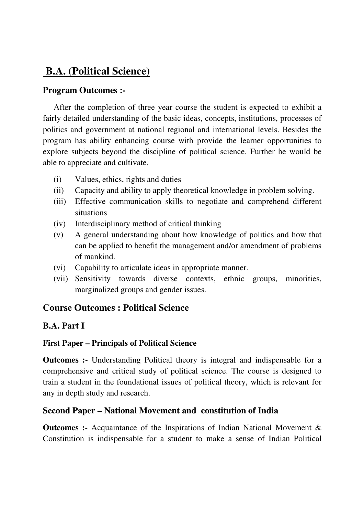# **B.A. (Political Science)**

#### **Program Outcomes :-**

After the completion of three year course the student is expected to exhibit a fairly detailed understanding of the basic ideas, concepts, institutions, processes of politics and government at national regional and international levels. Besides the program has ability enhancing course with provide the learner opportunities to explore subjects beyond the discipline of political science. Further he would be able to appreciate and cultivate.

- (i) Values, ethics, rights and duties
- (ii) Capacity and ability to apply theoretical knowledge in problem solving.
- (iii) Effective communication skills to negotiate and comprehend different situations
- (iv) Interdisciplinary method of critical thinking
- (v) A general understanding about how knowledge of politics and how that can be applied to benefit the management and/or amendment of problems of mankind.
- (vi) Capability to articulate ideas in appropriate manner.
- (vii) Sensitivity towards diverse contexts, ethnic groups, minorities, marginalized groups and gender issues.

## **Course Outcomes : Political Science**

#### **B.A. Part I**

#### **First Paper – Principals of Political Science**

**Outcomes :-** Understanding Political theory is integral and indispensable for a comprehensive and critical study of political science. The course is designed to train a student in the foundational issues of political theory, which is relevant for any in depth study and research.

#### **Second Paper – National Movement and constitution of India**

**Outcomes :-** Acquaintance of the Inspirations of Indian National Movement & Constitution is indispensable for a student to make a sense of Indian Political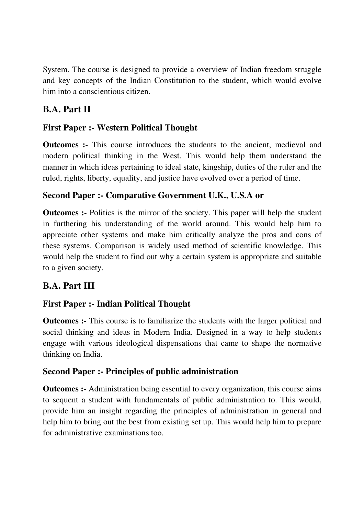System. The course is designed to provide a overview of Indian freedom struggle and key concepts of the Indian Constitution to the student, which would evolve him into a conscientious citizen.

# **B.A. Part II**

## **First Paper :- Western Political Thought**

**Outcomes :-** This course introduces the students to the ancient, medieval and modern political thinking in the West. This would help them understand the manner in which ideas pertaining to ideal state, kingship, duties of the ruler and the ruled, rights, liberty, equality, and justice have evolved over a period of time.

### **Second Paper :- Comparative Government U.K., U.S.A or**

**Outcomes :-** Politics is the mirror of the society. This paper will help the student in furthering his understanding of the world around. This would help him to appreciate other systems and make him critically analyze the pros and cons of these systems. Comparison is widely used method of scientific knowledge. This would help the student to find out why a certain system is appropriate and suitable to a given society.

# **B.A. Part III**

## **First Paper :- Indian Political Thought**

**Outcomes :-** This course is to familiarize the students with the larger political and social thinking and ideas in Modern India. Designed in a way to help students engage with various ideological dispensations that came to shape the normative thinking on India.

## **Second Paper :- Principles of public administration**

**Outcomes :-** Administration being essential to every organization, this course aims to sequent a student with fundamentals of public administration to. This would, provide him an insight regarding the principles of administration in general and help him to bring out the best from existing set up. This would help him to prepare for administrative examinations too.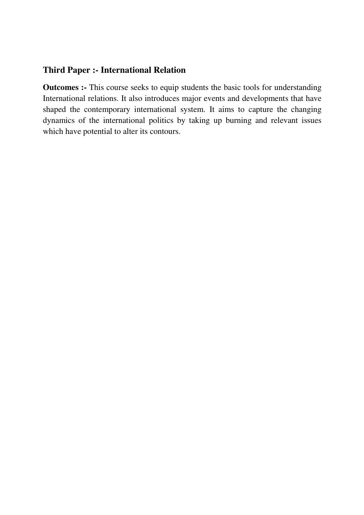#### **Third Paper :- International Relation**

**Outcomes :-** This course seeks to equip students the basic tools for understanding International relations. It also introduces major events and developments that have shaped the contemporary international system. It aims to capture the changing dynamics of the international politics by taking up burning and relevant issues which have potential to alter its contours.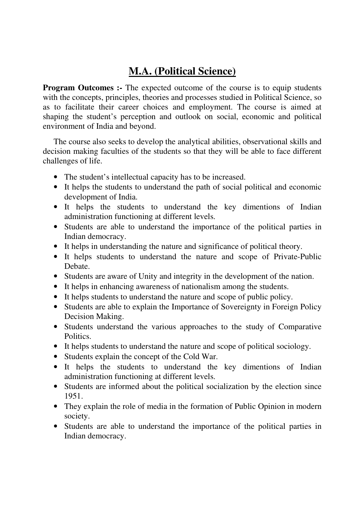# **M.A. (Political Science)**

**Program Outcomes :-** The expected outcome of the course is to equip students with the concepts, principles, theories and processes studied in Political Science, so as to facilitate their career choices and employment. The course is aimed at shaping the student's perception and outlook on social, economic and political environment of India and beyond.

The course also seeks to develop the analytical abilities, observational skills and decision making faculties of the students so that they will be able to face different challenges of life.

- The student's intellectual capacity has to be increased.
- It helps the students to understand the path of social political and economic development of India.
- It helps the students to understand the key dimentions of Indian administration functioning at different levels.
- Students are able to understand the importance of the political parties in Indian democracy.
- It helps in understanding the nature and significance of political theory.
- It helps students to understand the nature and scope of Private-Public Debate.
- Students are aware of Unity and integrity in the development of the nation.
- It helps in enhancing awareness of nationalism among the students.
- It helps students to understand the nature and scope of public policy.
- Students are able to explain the Importance of Sovereignty in Foreign Policy Decision Making.
- Students understand the various approaches to the study of Comparative Politics.
- It helps students to understand the nature and scope of political sociology.
- Students explain the concept of the Cold War.
- It helps the students to understand the key dimentions of Indian administration functioning at different levels.
- Students are informed about the political socialization by the election since 1951.
- They explain the role of media in the formation of Public Opinion in modern society.
- Students are able to understand the importance of the political parties in Indian democracy.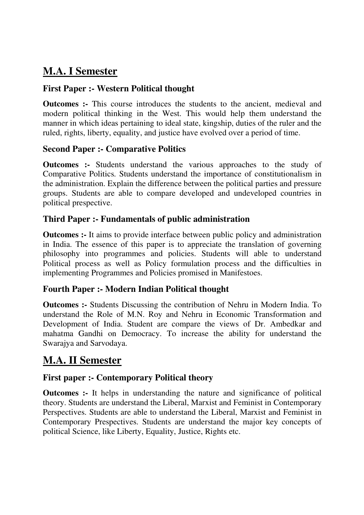# **M.A. I Semester**

#### **First Paper :- Western Political thought**

**Outcomes :-** This course introduces the students to the ancient, medieval and modern political thinking in the West. This would help them understand the manner in which ideas pertaining to ideal state, kingship, duties of the ruler and the ruled, rights, liberty, equality, and justice have evolved over a period of time.

#### **Second Paper :- Comparative Politics**

**Outcomes :-** Students understand the various approaches to the study of Comparative Politics. Students understand the importance of constitutionalism in the administration. Explain the difference between the political parties and pressure groups. Students are able to compare developed and undeveloped countries in political prespective.

#### **Third Paper :- Fundamentals of public administration**

**Outcomes :-** It aims to provide interface between public policy and administration in India. The essence of this paper is to appreciate the translation of governing philosophy into programmes and policies. Students will able to understand Political process as well as Policy formulation process and the difficulties in implementing Programmes and Policies promised in Manifestoes.

#### **Fourth Paper :- Modern Indian Political thought**

**Outcomes :-** Students Discussing the contribution of Nehru in Modern India. To understand the Role of M.N. Roy and Nehru in Economic Transformation and Development of India. Student are compare the views of Dr. Ambedkar and mahatma Gandhi on Democracy. To increase the ability for understand the Swarajya and Sarvodaya.

# **M.A. II Semester**

#### **First paper :- Contemporary Political theory**

**Outcomes :-** It helps in understanding the nature and significance of political theory. Students are understand the Liberal, Marxist and Feminist in Contemporary Perspectives. Students are able to understand the Liberal, Marxist and Feminist in Contemporary Prespectives. Students are understand the major key concepts of political Science, like Liberty, Equality, Justice, Rights etc.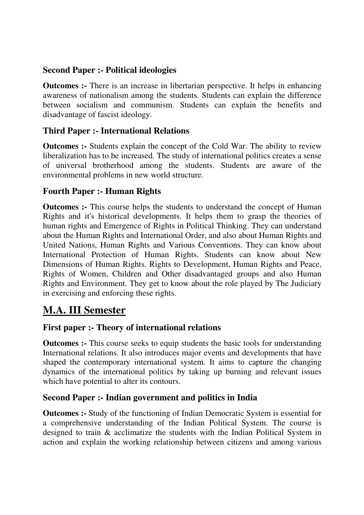#### **Second Paper :- Political ideologies**

**Outcomes :-** There is an increase in libertarian perspective. It helps in enhancing awareness of nationalism among the students. Students can explain the difference between socialism and communism. Students can explain the benefits and disadvantage of fascist ideology.

#### **Third Paper :- International Relations**

**Outcomes :-** Students explain the concept of the Cold War. The ability to review liberalization has to be increased. The study of international politics creates a sense of universal brotherhood among the students. Students are aware of the environmental problems in new world structure.

#### **Fourth Paper :- Human Rights**

**Outcomes :-** This course helps the students to understand the concept of Human Rights and it's historical developments. It helps them to grasp the theories of human rights and Emergence of Rights in Political Thinking. They can understand about the Human Rights and International Order, and also about Human Rights and United Nations, Human Rights and Various Conventions. They can know about International Protection of Human Rights. Students can know about New Dimensions of Human Rights. Rights to Development, Human Rights and Peace, Rights of Women, Children and Other disadvantaged groups and also Human Rights and Environment. They get to know about the role played by The Judiciary in exercising and enforcing these rights.

# **M.A. III Semester**

#### **First paper :- Theory of international relations**

**Outcomes :-** This course seeks to equip students the basic tools for understanding International relations. It also introduces major events and developments that have shaped the contemporary international system. It aims to capture the changing dynamics of the international politics by taking up burning and relevant issues which have potential to alter its contours.

#### **Second Paper :- Indian government and politics in India**

**Outcomes :-** Study of the functioning of Indian Democratic System is essential for a comprehensive understanding of the Indian Political System. The course is designed to train & acclimatize the students with the Indian Political System in action and explain the working relationship between citizens and among various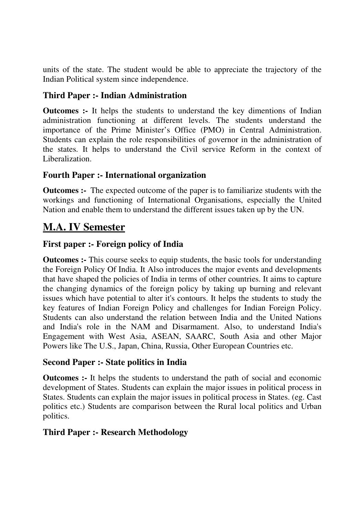units of the state. The student would be able to appreciate the trajectory of the Indian Political system since independence.

### **Third Paper :- Indian Administration**

**Outcomes :-** It helps the students to understand the key dimentions of Indian administration functioning at different levels. The students understand the importance of the Prime Minister's Office (PMO) in Central Administration. Students can explain the role responsibilities of governor in the administration of the states. It helps to understand the Civil service Reform in the context of Liberalization.

### **Fourth Paper :- International organization**

**Outcomes :-** The expected outcome of the paper is to familiarize students with the workings and functioning of International Organisations, especially the United Nation and enable them to understand the different issues taken up by the UN.

# **M.A. IV Semester**

### **First paper :- Foreign policy of India**

**Outcomes :-** This course seeks to equip students, the basic tools for understanding the Foreign Policy Of India. It Also introduces the major events and developments that have shaped the policies of India in terms of other countries. It aims to capture the changing dynamics of the foreign policy by taking up burning and relevant issues which have potential to alter it's contours. It helps the students to study the key features of Indian Foreign Policy and challenges for Indian Foreign Policy. Students can also understand the relation between India and the United Nations and India's role in the NAM and Disarmament. Also, to understand India's Engagement with West Asia, ASEAN, SAARC, South Asia and other Major Powers like The U.S., Japan, China, Russia, Other European Countries etc.

#### **Second Paper :- State politics in India**

**Outcomes :-** It helps the students to understand the path of social and economic development of States. Students can explain the major issues in political process in States. Students can explain the major issues in political process in States. (eg. Cast politics etc.) Students are comparison between the Rural local politics and Urban politics.

#### **Third Paper :- Research Methodology**